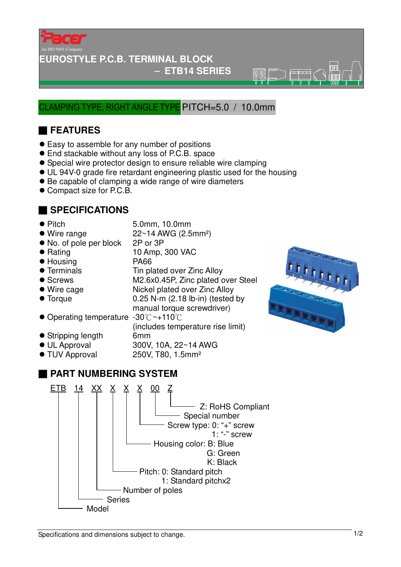

#### **EUROSTYLE P.C.B. TERMINAL BLOCK**

#### − **ETB14 SERIES**

 $\overline{\mathbb{R}}\overline{\mathbb{R}}$ 

#### LAMPING TYPE, RIGHT ANGLE TYPE PITCH=5.0 / 10.0mm

## ■ **FEATURES**

- Easy to assemble for any number of positions
- End stackable without any loss of P.C.B. space
- Special wire protector design to ensure reliable wire clamping
- UL 94V-0 grade fire retardant engineering plastic used for the housing
- Be capable of clamping a wide range of wire diameters
- Compact size for P.C.B.

## ■ **SPECIFICATIONS**

22~14 AWG (2.5mm<sup>2</sup>)

- Pitch 5.0mm, 10.0mm<br>● Wire range 22~14 AWG (2.5
- No. of pole per block 2P or 3P
- Rating 10 Amp, 300 VAC
- Housing PA66
- Terminals Tin plated over Zinc Alloy
- 
- 
- 
- Screws M2.6x0.45P, Zinc plated over Steel ● Wire cage Nickel plated over Zinc Alloy ● Torque 0.25 N-m (2.18 lb-in) (tested by manual torque screwdriver)
- Operating temperature -30°C ~+110°C (includes temperature rise limit)
- Stripping length 6mm
- UL Approval 300V, 10A, 22~14 AWG
- 

#### ● TUV Approval 250V, T80, 1.5mm<sup>2</sup>

## ■ **PART NUMBERING SYSTEM**